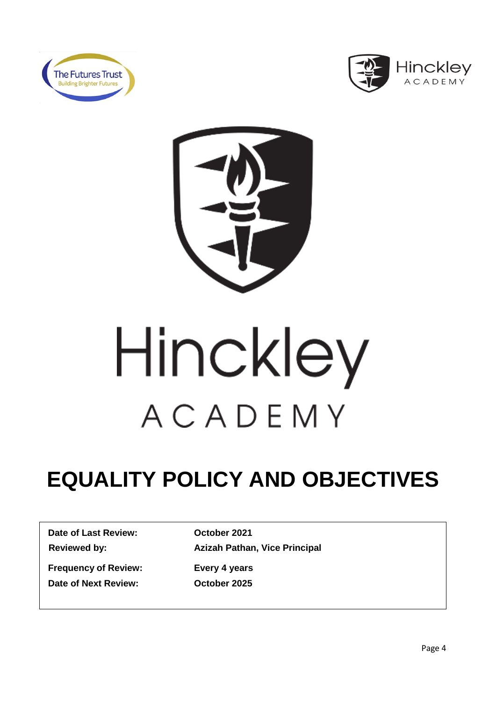





# Hinckley ACADEMY

# **EQUALITY POLICY AND OBJECTIVES**

**Date of Last Review: October 2021**

**Reviewed by: Azizah Pathan, Vice Principal**

**Frequency of Review: Every 4 years Date of Next Review: October 2025**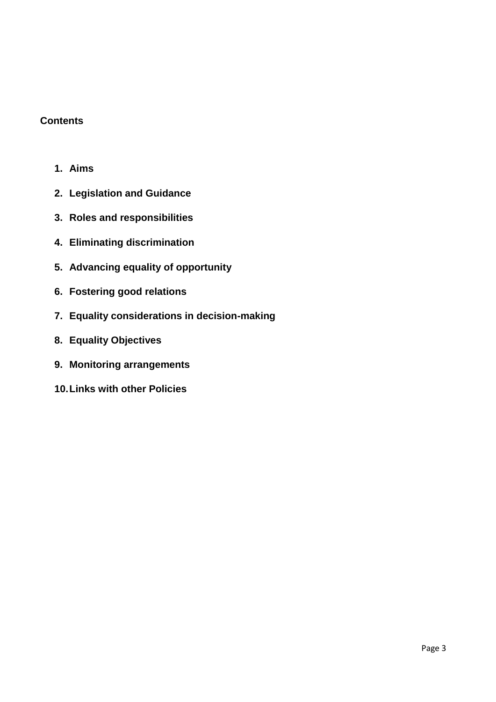#### **Contents**

- **1. Aims**
- **2. Legislation and Guidance**
- **3. Roles and responsibilities**
- **4. Eliminating discrimination**
- **5. Advancing equality of opportunity**
- **6. Fostering good relations**
- **7. Equality considerations in decision-making**
- **8. Equality Objectives**
- **9. Monitoring arrangements**
- **10.Links with other Policies**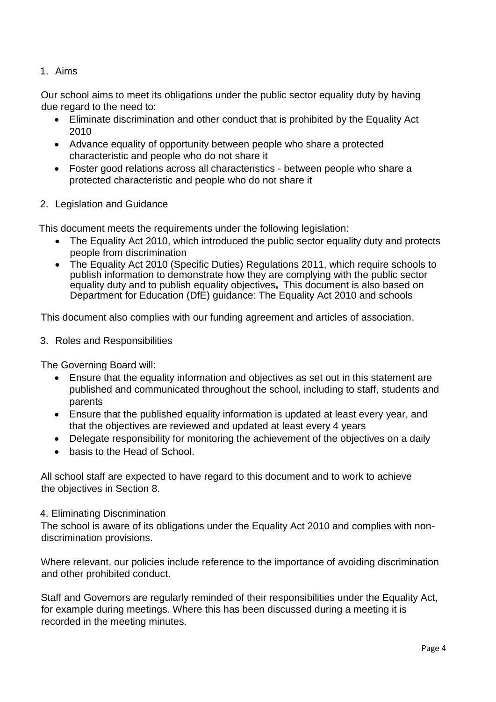#### 1. Aims

Our school aims to meet its obligations under the public sector equality duty by having due regard to the need to:

- Eliminate discrimination and other conduct that is prohibited by the Equality Act 2010
- Advance equality of opportunity between people who share a protected characteristic and people who do not share it
- Foster good relations across all characteristics between people who share a protected characteristic and people who do not share it
- 2. Legislation and Guidance

This document meets the requirements under the following legislation:

- The Equality Act 2010, which introduced the public sector equality duty and protects people from discrimination
- The Equality Act 2010 (Specific Duties) Regulations 2011, which require schools to publish information to demonstrate how they are complying with the public sector equality duty and to publish equality objectives. This document is also based on Department for Education (DfE) guidance: The Equality Act 2010 and schools

This document also complies with our funding agreement and articles of association.

3. Roles and Responsibilities

The Governing Board will:

- Ensure that the equality information and objectives as set out in this statement are published and communicated throughout the school, including to staff, students and parents
- Ensure that the published equality information is updated at least every year, and that the objectives are reviewed and updated at least every 4 years
- Delegate responsibility for monitoring the achievement of the objectives on a daily
- basis to the Head of School.

All school staff are expected to have regard to this document and to work to achieve the objectives in Section 8.

#### 4. Eliminating Discrimination

The school is aware of its obligations under the Equality Act 2010 and complies with nondiscrimination provisions.

Where relevant, our policies include reference to the importance of avoiding discrimination and other prohibited conduct.

Staff and Governors are regularly reminded of their responsibilities under the Equality Act, for example during meetings. Where this has been discussed during a meeting it is recorded in the meeting minutes.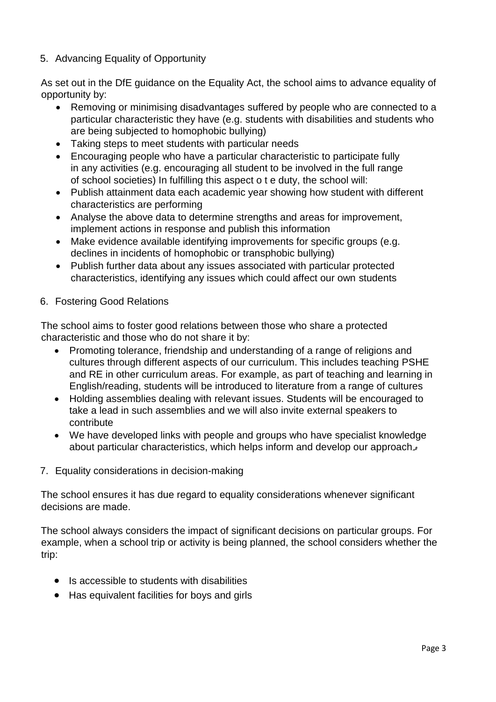# 5. Advancing Equality of Opportunity

As set out in the DfE guidance on the Equality Act, the school aims to advance equality of opportunity by:

- Removing or minimising disadvantages suffered by people who are connected to a particular characteristic they have (e.g. students with disabilities and students who are being subjected to homophobic bullying)
- Taking steps to meet students with particular needs
- Encouraging people who have a particular characteristic to participate fully in any activities (e.g. encouraging all student to be involved in the full range of school societies) In fulfilling this aspect o t e duty, the school will:
- Publish attainment data each academic year showing how student with different characteristics are performing
- Analyse the above data to determine strengths and areas for improvement, implement actions in response and publish this information
- Make evidence available identifying improvements for specific groups (e.g. declines in incidents of homophobic or transphobic bullying)
- Publish further data about any issues associated with particular protected characteristics, identifying any issues which could affect our own students

# 6. Fostering Good Relations

The school aims to foster good relations between those who share a protected characteristic and those who do not share it by:

- Promoting tolerance, friendship and understanding of a range of religions and cultures through different aspects of our curriculum. This includes teaching PSHE and RE in other curriculum areas. For example, as part of teaching and learning in English/reading, students will be introduced to literature from a range of cultures
- Holding assemblies dealing with relevant issues. Students will be encouraged to take a lead in such assemblies and we will also invite external speakers to contribute
- We have developed links with people and groups who have specialist knowledge about particular characteristics, which helps inform and develop our approach.

# 7. Equality considerations in decision-making

The school ensures it has due regard to equality considerations whenever significant decisions are made.

The school always considers the impact of significant decisions on particular groups. For example, when a school trip or activity is being planned, the school considers whether the trip:

- Is accessible to students with disabilities
- Has equivalent facilities for boys and girls